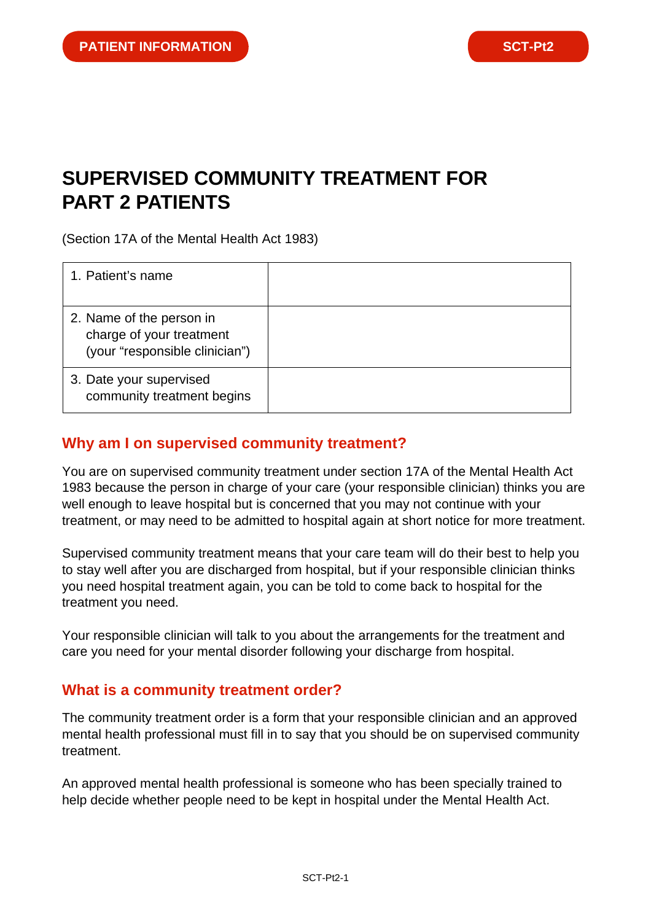# **SUPERVISED COMMUNITY TREATMENT FOR PART 2 PATIENTS**

(Section 17A of the Mental Health Act 1983)

| 1. Patient's name                                                                      |  |
|----------------------------------------------------------------------------------------|--|
| 2. Name of the person in<br>charge of your treatment<br>(your "responsible clinician") |  |
| 3. Date your supervised<br>community treatment begins                                  |  |

#### **Why am I on supervised community treatment?**

You are on supervised community treatment under section 17A of the Mental Health Act 1983 because the person in charge of your care (your responsible clinician) thinks you are well enough to leave hospital but is concerned that you may not continue with your treatment, or may need to be admitted to hospital again at short notice for more treatment.

Supervised community treatment means that your care team will do their best to help you to stay well after you are discharged from hospital, but if your responsible clinician thinks you need hospital treatment again, you can be told to come back to hospital for the treatment you need.

Your responsible clinician will talk to you about the arrangements for the treatment and care you need for your mental disorder following your discharge from hospital.

#### **What is a community treatment order?**

The community treatment order is a form that your responsible clinician and an approved mental health professional must fill in to say that you should be on supervised community treatment.

An approved mental health professional is someone who has been specially trained to help decide whether people need to be kept in hospital under the Mental Health Act.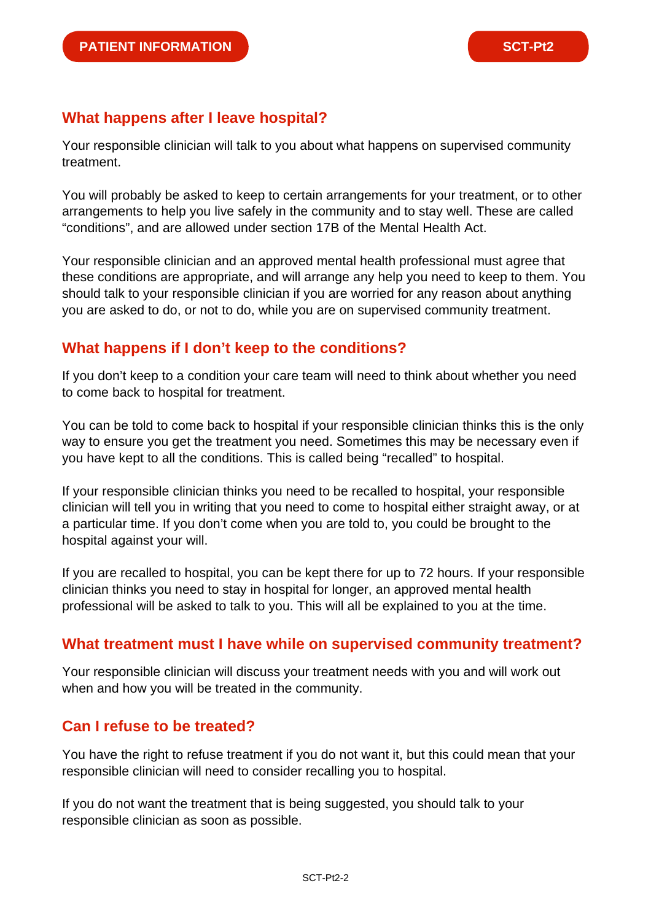## **What happens after I leave hospital?**

Your responsible clinician will talk to you about what happens on supervised community treatment.

You will probably be asked to keep to certain arrangements for your treatment, or to other arrangements to help you live safely in the community and to stay well. These are called "conditions", and are allowed under section 17B of the Mental Health Act.

Your responsible clinician and an approved mental health professional must agree that these conditions are appropriate, and will arrange any help you need to keep to them. You should talk to your responsible clinician if you are worried for any reason about anything you are asked to do, or not to do, while you are on supervised community treatment.

## **What happens if I don't keep to the conditions?**

If you don't keep to a condition your care team will need to think about whether you need to come back to hospital for treatment.

You can be told to come back to hospital if your responsible clinician thinks this is the only way to ensure you get the treatment you need. Sometimes this may be necessary even if you have kept to all the conditions. This is called being "recalled" to hospital.

If your responsible clinician thinks you need to be recalled to hospital, your responsible clinician will tell you in writing that you need to come to hospital either straight away, or at a particular time. If you don't come when you are told to, you could be brought to the hospital against your will.

If you are recalled to hospital, you can be kept there for up to 72 hours. If your responsible clinician thinks you need to stay in hospital for longer, an approved mental health professional will be asked to talk to you. This will all be explained to you at the time.

## **What treatment must I have while on supervised community treatment?**

Your responsible clinician will discuss your treatment needs with you and will work out when and how you will be treated in the community.

## **Can I refuse to be treated?**

You have the right to refuse treatment if you do not want it, but this could mean that your responsible clinician will need to consider recalling you to hospital.

If you do not want the treatment that is being suggested, you should talk to your responsible clinician as soon as possible.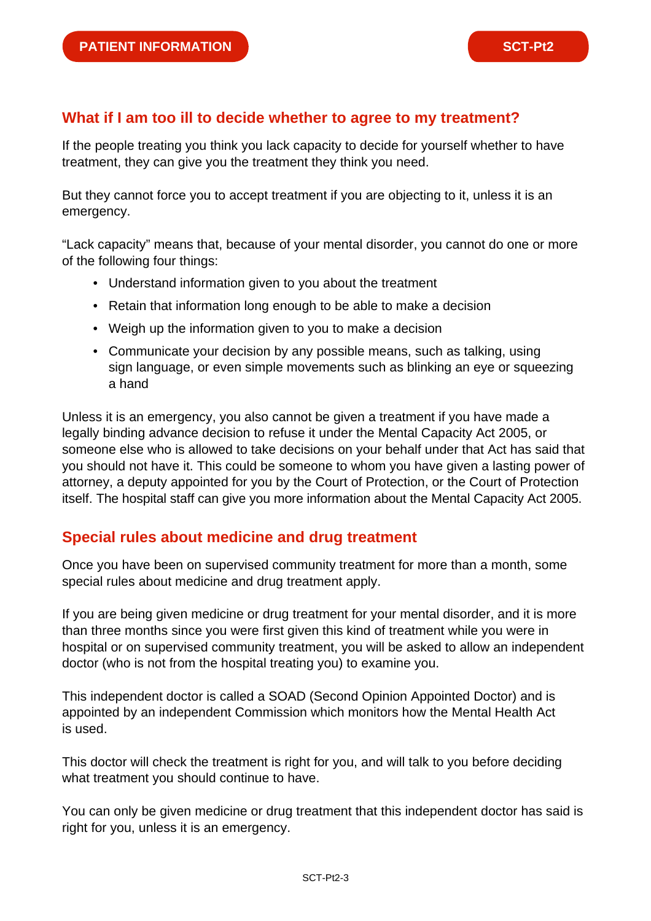## **What if I am too ill to decide whether to agree to my treatment?**

If the people treating you think you lack capacity to decide for yourself whether to have treatment, they can give you the treatment they think you need.

But they cannot force you to accept treatment if you are objecting to it, unless it is an emergency.

"Lack capacity" means that, because of your mental disorder, you cannot do one or more of the following four things:

- Understand information given to you about the treatment
- Retain that information long enough to be able to make a decision
- Weigh up the information given to you to make a decision
- Communicate your decision by any possible means, such as talking, using sign language, or even simple movements such as blinking an eye or squeezing a hand

Unless it is an emergency, you also cannot be given a treatment if you have made a legally binding advance decision to refuse it under the Mental Capacity Act 2005, or someone else who is allowed to take decisions on your behalf under that Act has said that you should not have it. This could be someone to whom you have given a lasting power of attorney, a deputy appointed for you by the Court of Protection, or the Court of Protection itself. The hospital staff can give you more information about the Mental Capacity Act 2005.

#### **Special rules about medicine and drug treatment**

Once you have been on supervised community treatment for more than a month, some special rules about medicine and drug treatment apply.

If you are being given medicine or drug treatment for your mental disorder, and it is more than three months since you were first given this kind of treatment while you were in hospital or on supervised community treatment, you will be asked to allow an independent doctor (who is not from the hospital treating you) to examine you.

This independent doctor is called a SOAD (Second Opinion Appointed Doctor) and is appointed by an independent Commission which monitors how the Mental Health Act is used.

This doctor will check the treatment is right for you, and will talk to you before deciding what treatment you should continue to have.

You can only be given medicine or drug treatment that this independent doctor has said is right for you, unless it is an emergency.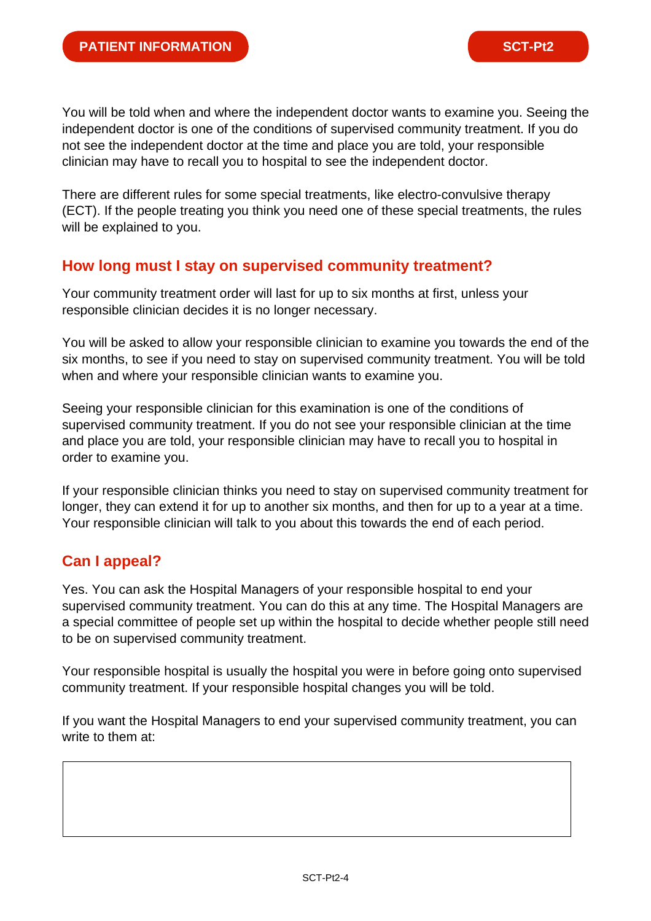You will be told when and where the independent doctor wants to examine you. Seeing the independent doctor is one of the conditions of supervised community treatment. If you do not see the independent doctor at the time and place you are told, your responsible clinician may have to recall you to hospital to see the independent doctor.

There are different rules for some special treatments, like electro-convulsive therapy (ECT). If the people treating you think you need one of these special treatments, the rules will be explained to you.

#### **How long must I stay on supervised community treatment?**

Your community treatment order will last for up to six months at first, unless your responsible clinician decides it is no longer necessary.

You will be asked to allow your responsible clinician to examine you towards the end of the six months, to see if you need to stay on supervised community treatment. You will be told when and where your responsible clinician wants to examine you.

Seeing your responsible clinician for this examination is one of the conditions of supervised community treatment. If you do not see your responsible clinician at the time and place you are told, your responsible clinician may have to recall you to hospital in order to examine you.

If your responsible clinician thinks you need to stay on supervised community treatment for longer, they can extend it for up to another six months, and then for up to a year at a time. Your responsible clinician will talk to you about this towards the end of each period.

## **Can I appeal?**

Yes. You can ask the Hospital Managers of your responsible hospital to end your supervised community treatment. You can do this at any time. The Hospital Managers are a special committee of people set up within the hospital to decide whether people still need to be on supervised community treatment.

Your responsible hospital is usually the hospital you were in before going onto supervised community treatment. If your responsible hospital changes you will be told.

If you want the Hospital Managers to end your supervised community treatment, you can write to them at: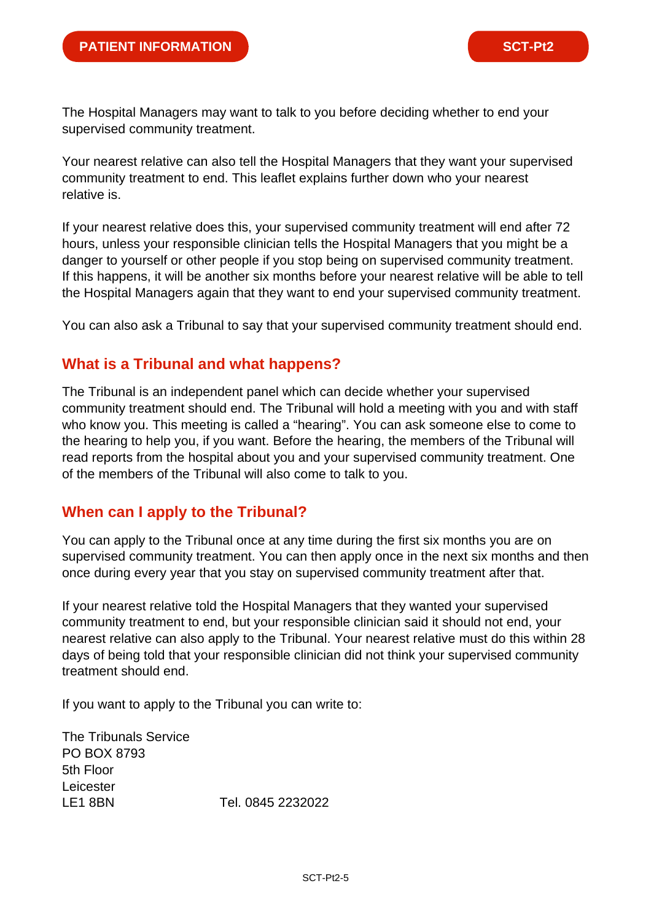The Hospital Managers may want to talk to you before deciding whether to end your supervised community treatment.

Your nearest relative can also tell the Hospital Managers that they want your supervised community treatment to end. This leaflet explains further down who your nearest relative is.

If your nearest relative does this, your supervised community treatment will end after 72 hours, unless your responsible clinician tells the Hospital Managers that you might be a danger to yourself or other people if you stop being on supervised community treatment. If this happens, it will be another six months before your nearest relative will be able to tell the Hospital Managers again that they want to end your supervised community treatment.

You can also ask a Tribunal to say that your supervised community treatment should end.

## **What is a Tribunal and what happens?**

The Tribunal is an independent panel which can decide whether your supervised community treatment should end. The Tribunal will hold a meeting with you and with staff who know you. This meeting is called a "hearing". You can ask someone else to come to the hearing to help you, if you want. Before the hearing, the members of the Tribunal will read reports from the hospital about you and your supervised community treatment. One of the members of the Tribunal will also come to talk to you.

## **When can I apply to the Tribunal?**

You can apply to the Tribunal once at any time during the first six months you are on supervised community treatment. You can then apply once in the next six months and then once during every year that you stay on supervised community treatment after that.

If your nearest relative told the Hospital Managers that they wanted your supervised community treatment to end, but your responsible clinician said it should not end, your nearest relative can also apply to the Tribunal. Your nearest relative must do this within 28 days of being told that your responsible clinician did not think your supervised community treatment should end.

If you want to apply to the Tribunal you can write to:

The Tribunals Service PO BOX 8793 5th Floor Leicester LE1 8BN Tel. 0845 2232022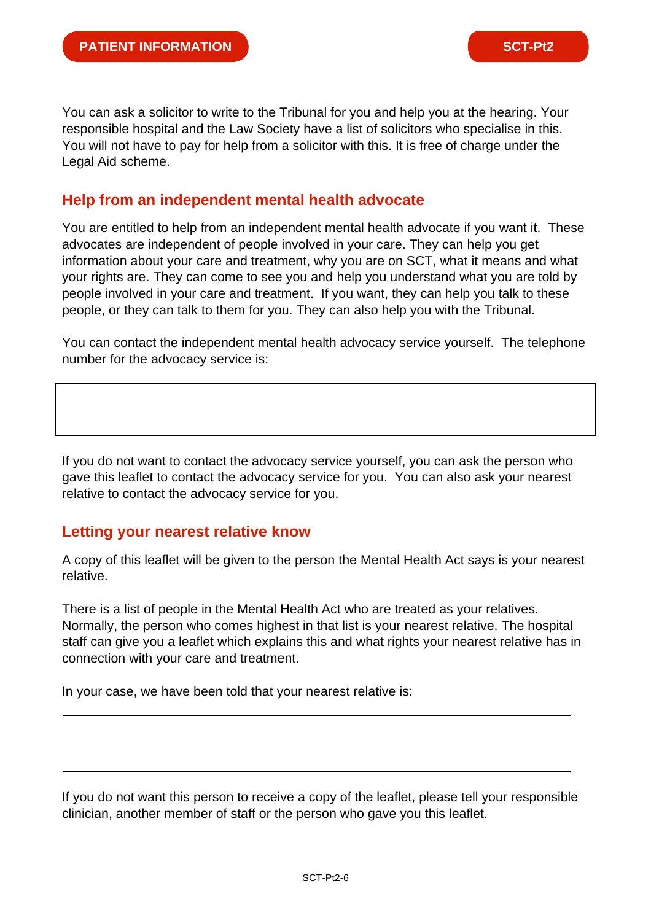You can ask a solicitor to write to the Tribunal for you and help you at the hearing. Your responsible hospital and the Law Society have a list of solicitors who specialise in this. You will not have to pay for help from a solicitor with this. It is free of charge under the Legal Aid scheme.

#### **Help from an independent mental health advocate**

You are entitled to help from an independent mental health advocate if you want it. These advocates are independent of people involved in your care. They can help you get information about your care and treatment, why you are on SCT, what it means and what your rights are. They can come to see you and help you understand what you are told by people involved in your care and treatment. If you want, they can help you talk to these people, or they can talk to them for you. They can also help you with the Tribunal.

You can contact the independent mental health advocacy service yourself. The telephone number for the advocacy service is:

If you do not want to contact the advocacy service yourself, you can ask the person who gave this leaflet to contact the advocacy service for you. You can also ask your nearest relative to contact the advocacy service for you.

#### **Letting your nearest relative know**

A copy of this leaflet will be given to the person the Mental Health Act says is your nearest relative.

There is a list of people in the Mental Health Act who are treated as your relatives. Normally, the person who comes highest in that list is your nearest relative. The hospital staff can give you a leaflet which explains this and what rights your nearest relative has in connection with your care and treatment.

In your case, we have been told that your nearest relative is:

If you do not want this person to receive a copy of the leaflet, please tell your responsible clinician, another member of staff or the person who gave you this leaflet.